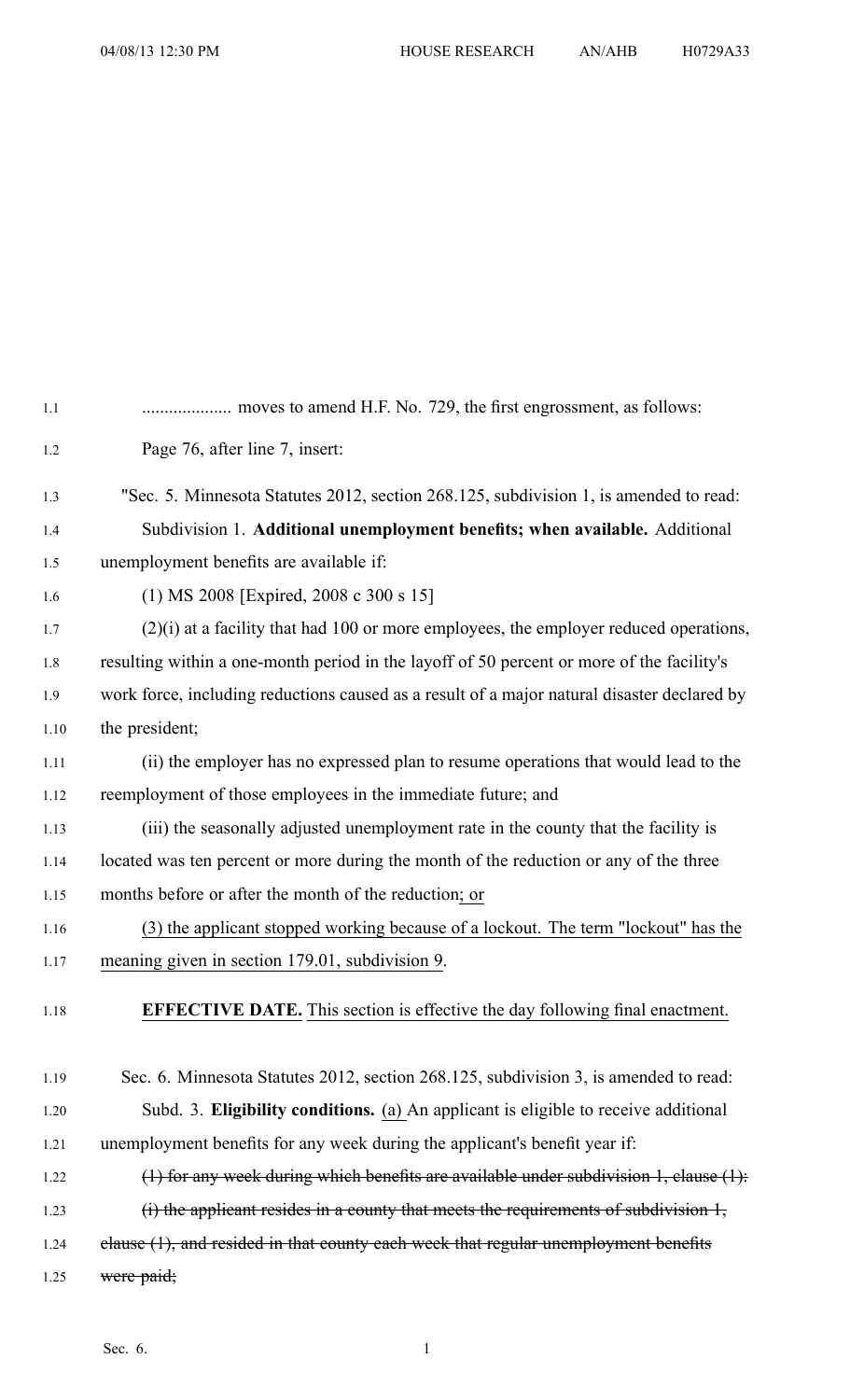| 1.1  |                                                                                             |
|------|---------------------------------------------------------------------------------------------|
| 1.2  | Page 76, after line 7, insert:                                                              |
| 1.3  | "Sec. 5. Minnesota Statutes 2012, section 268.125, subdivision 1, is amended to read:       |
| 1.4  | Subdivision 1. Additional unemployment benefits; when available. Additional                 |
| 1.5  | unemployment benefits are available if:                                                     |
| 1.6  | (1) MS 2008 [Expired, 2008 c 300 s 15]                                                      |
| 1.7  | $(2)(i)$ at a facility that had 100 or more employees, the employer reduced operations,     |
| 1.8  | resulting within a one-month period in the layoff of 50 percent or more of the facility's   |
| 1.9  | work force, including reductions caused as a result of a major natural disaster declared by |
| 1.10 | the president;                                                                              |
| 1.11 | (ii) the employer has no expressed plan to resume operations that would lead to the         |
| 1.12 | reemployment of those employees in the immediate future; and                                |
| 1.13 | (iii) the seasonally adjusted unemployment rate in the county that the facility is          |
| 1.14 | located was ten percent or more during the month of the reduction or any of the three       |
| 1.15 | months before or after the month of the reduction; or                                       |
| 1.16 | (3) the applicant stopped working because of a lockout. The term "lockout" has the          |
| 1.17 | meaning given in section 179.01, subdivision 9.                                             |
| 1.18 | EFFECTIVE DATE. This section is effective the day following final enactment.                |
| 1.19 | Sec. 6. Minnesota Statutes 2012, section 268.125, subdivision 3, is amended to read:        |
| 1.20 | Subd. 3. Eligibility conditions. (a) An applicant is eligible to receive additional         |
| 1.21 | unemployment benefits for any week during the applicant's benefit year if:                  |
| 1.22 | $(1)$ for any week during which benefits are available under subdivision 1, clause $(1)$ :  |
| 1.23 | $(i)$ the applicant resides in a county that meets the requirements of subdivision $1$ ,    |
| 1.24 | elause (1), and resided in that county each week that regular unemployment benefits         |
| 1.25 | were paid;                                                                                  |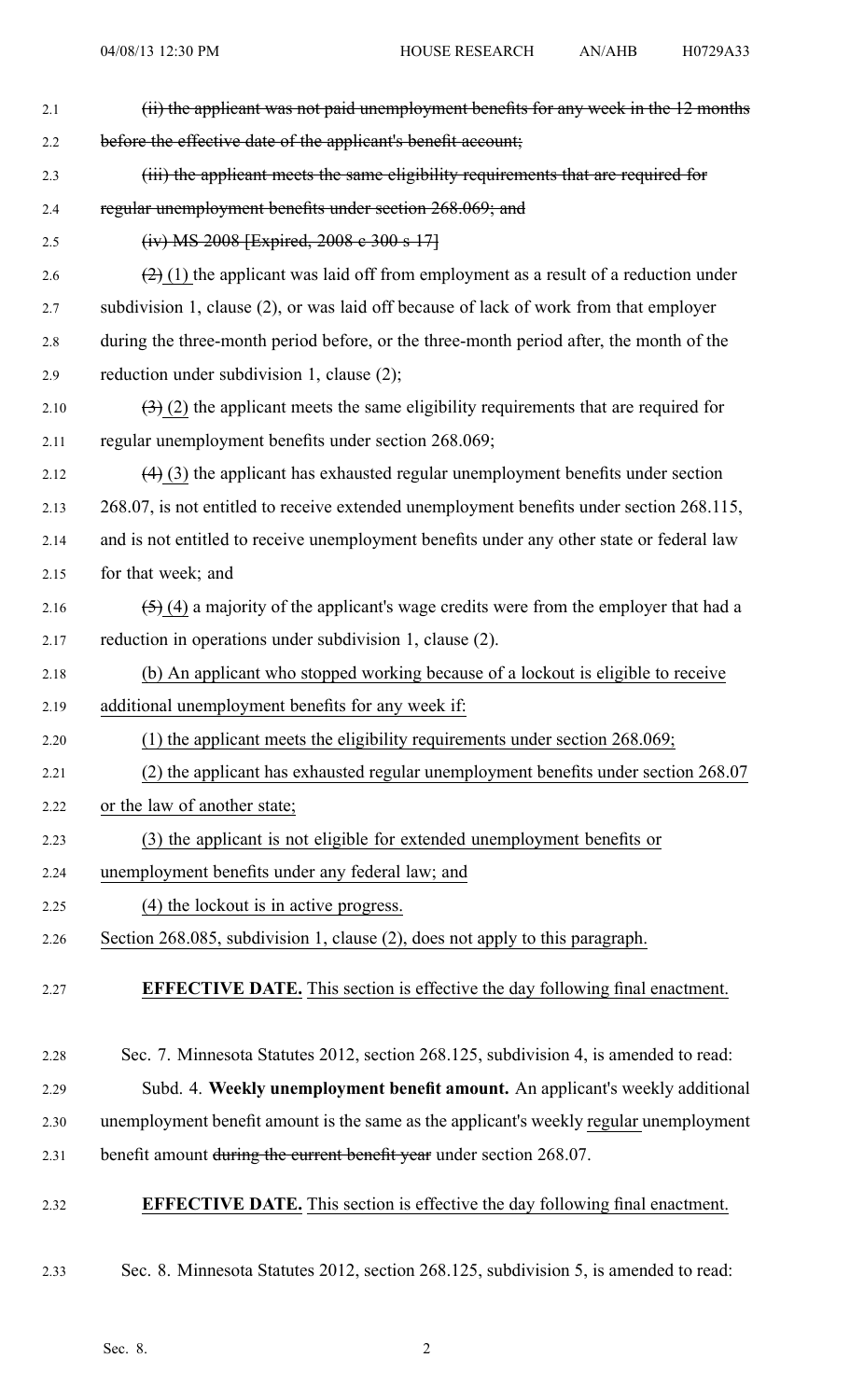| 2.1  | (ii) the applicant was not paid unemployment benefits for any week in the 12 months       |
|------|-------------------------------------------------------------------------------------------|
| 2.2  | before the effective date of the applicant's benefit account;                             |
| 2.3  | (iii) the applicant meets the same eligibility requirements that are required for         |
| 2.4  | regular unemployment benefits under section 268.069; and                                  |
| 2.5  | $(iv) MS 2008$ [Expired, 2008 e 300 s 17]                                                 |
| 2.6  | $(2)$ (1) the applicant was laid off from employment as a result of a reduction under     |
| 2.7  | subdivision 1, clause (2), or was laid off because of lack of work from that employer     |
| 2.8  | during the three-month period before, or the three-month period after, the month of the   |
| 2.9  | reduction under subdivision 1, clause (2);                                                |
| 2.10 | $(3)$ (2) the applicant meets the same eligibility requirements that are required for     |
| 2.11 | regular unemployment benefits under section 268.069;                                      |
| 2.12 | $(4)$ (3) the applicant has exhausted regular unemployment benefits under section         |
| 2.13 | 268.07, is not entitled to receive extended unemployment benefits under section 268.115,  |
| 2.14 | and is not entitled to receive unemployment benefits under any other state or federal law |
| 2.15 | for that week; and                                                                        |
| 2.16 | $(5)$ (4) a majority of the applicant's wage credits were from the employer that had a    |
| 2.17 | reduction in operations under subdivision 1, clause (2).                                  |
| 2.18 | (b) An applicant who stopped working because of a lockout is eligible to receive          |
| 2.19 | additional unemployment benefits for any week if:                                         |
| 2.20 | $(1)$ the applicant meets the eligibility requirements under section 268.069;             |
| 2.21 | (2) the applicant has exhausted regular unemployment benefits under section 268.07        |
| 2.22 | or the law of another state;                                                              |
| 2.23 | (3) the applicant is not eligible for extended unemployment benefits or                   |
| 2.24 | unemployment benefits under any federal law; and                                          |
| 2.25 | (4) the lockout is in active progress.                                                    |
| 2.26 | Section 268.085, subdivision 1, clause (2), does not apply to this paragraph.             |
| 2.27 | <b>EFFECTIVE DATE.</b> This section is effective the day following final enactment.       |
| 2.28 | Sec. 7. Minnesota Statutes 2012, section 268.125, subdivision 4, is amended to read:      |
| 2.29 | Subd. 4. Weekly unemployment benefit amount. An applicant's weekly additional             |
| 2.30 | unemployment benefit amount is the same as the applicant's weekly regular unemployment    |
| 2.31 | benefit amount during the current benefit year under section 268.07.                      |
| 2.32 | <b>EFFECTIVE DATE.</b> This section is effective the day following final enactment.       |
| 2.33 | Sec. 8. Minnesota Statutes 2012, section 268.125, subdivision 5, is amended to read:      |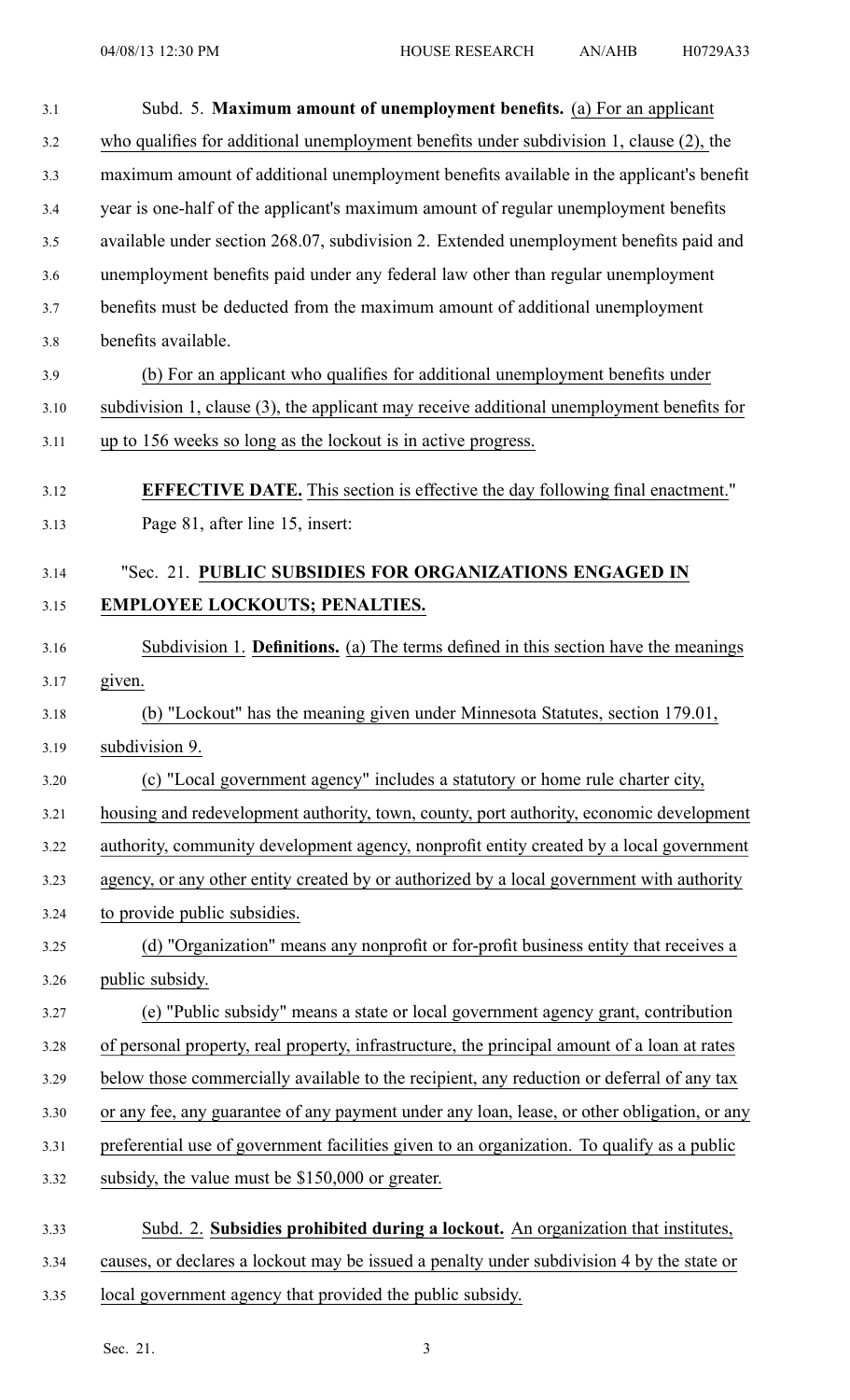| 3.1  | Subd. 5. Maximum amount of unemployment benefits. (a) For an applicant                       |
|------|----------------------------------------------------------------------------------------------|
| 3.2  | who qualifies for additional unemployment benefits under subdivision 1, clause (2), the      |
| 3.3  | maximum amount of additional unemployment benefits available in the applicant's benefit      |
| 3.4  | year is one-half of the applicant's maximum amount of regular unemployment benefits          |
| 3.5  | available under section 268.07, subdivision 2. Extended unemployment benefits paid and       |
| 3.6  | unemployment benefits paid under any federal law other than regular unemployment             |
| 3.7  | benefits must be deducted from the maximum amount of additional unemployment                 |
| 3.8  | benefits available.                                                                          |
| 3.9  | (b) For an applicant who qualifies for additional unemployment benefits under                |
| 3.10 | subdivision 1, clause $(3)$ , the applicant may receive additional unemployment benefits for |
| 3.11 | up to 156 weeks so long as the lockout is in active progress.                                |
| 3.12 | <b>EFFECTIVE DATE.</b> This section is effective the day following final enactment."         |
| 3.13 | Page 81, after line 15, insert:                                                              |
| 3.14 | "Sec. 21. PUBLIC SUBSIDIES FOR ORGANIZATIONS ENGAGED IN                                      |
| 3.15 | <b>EMPLOYEE LOCKOUTS; PENALTIES.</b>                                                         |
| 3.16 | Subdivision 1. <b>Definitions.</b> (a) The terms defined in this section have the meanings   |
| 3.17 | given.                                                                                       |
| 3.18 | (b) "Lockout <u>" has the meaning given under Minnesota Statutes</u> , section 179.01        |
| 3.19 | subdivision 9.                                                                               |
| 3.20 | (c) "Local government agency" includes a statutory or home rule charter city,                |
| 3.21 | housing and redevelopment authority, town, county, port authority, economic development      |
| 3.22 | authority, community development agency, nonprofit entity created by a local government      |
| 3.23 | agency, or any other entity created by or authorized by a local government with authority    |
| 3.24 | to provide public subsidies.                                                                 |
| 3.25 | (d) "Organization" means any nonprofit or for-profit business entity that receives a         |
| 3.26 | public subsidy.                                                                              |
| 3.27 | (e) "Public subsidy" means a state or local government agency grant, contribution            |
| 3.28 | of personal property, real property, infrastructure, the principal amount of a loan at rates |
| 3.29 | below those commercially available to the recipient, any reduction or deferral of any tax    |
| 3.30 | or any fee, any guarantee of any payment under any loan, lease, or other obligation, or any  |
| 3.31 | preferential use of government facilities given to an organization. To qualify as a public   |
| 3.32 | subsidy, the value must be \$150,000 or greater.                                             |
| 3.33 | Subd. 2. Subsidies prohibited during a lockout. An organization that institutes,             |
| 3.34 | causes, or declares a lockout may be issued a penalty under subdivision 4 by the state or    |

3.35 local governmen<sup>t</sup> agency that provided the public subsidy.